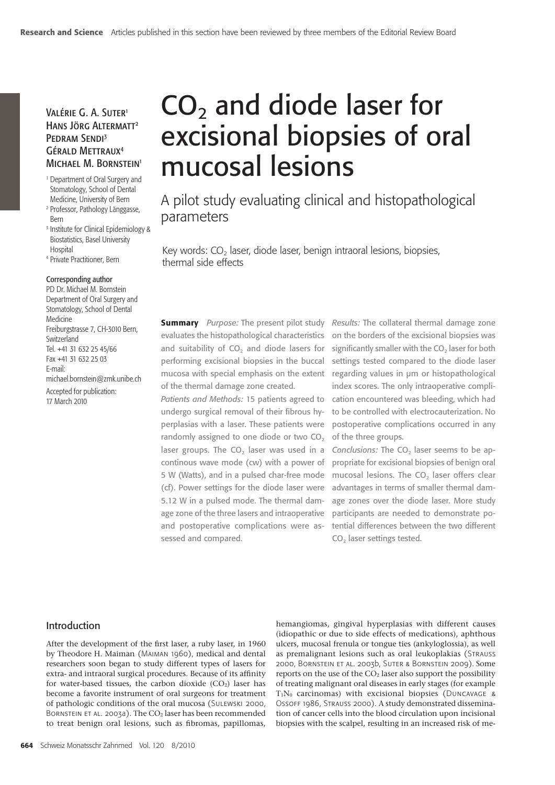# Valérie G. A. Suter1 Hans Jörg Altermatt2 PEDRAM SENDI<sup>3</sup> Gérald Mettraux4 MICHAEL M. BORNSTEIN<sup>1</sup>

1 Department of Oral Surgery and Stomatology, School of Dental Medicine, University of Bern

- 2 Professor, Pathology Länggasse, Bern
- 3 Institute for Clinical Epidemiology & Biostatistics, Basel University **Hospital**
- 4 Private Practitioner, Bern

#### Corresponding author

PD Dr. Michael M. Bornstein Department of Oral Surgery and Stomatology, School of Dental Medicine Freiburgstrasse 7, CH-3010 Bern, **Switzerland** Tel. +41 31 632 25 45/66 Fax +41 31 632 25 03 E-mail: michael.bornstein@zmk.unibe.ch

Accepted for publication: 17 March 2010

# $CO<sub>2</sub>$  and diode laser for excisional biopsies of oral mucosal lesions

A pilot study evaluating clinical and histopathological parameters

Key words:  $CO<sub>2</sub>$  laser, diode laser, benign intraoral lesions, biopsies, thermal side effects

**Summary** *Purpose:* The present pilot study evaluates the histopathological characteristics and suitability of CO<sub>2</sub> and diode lasers for performing excisional biopsies in the buccal mucosa with special emphasis on the extent of the thermal damage zone created.

*Patients and Methods:* 15 patients agreed to undergo surgical removal of their fibrous hyperplasias with a laser. These patients were randomly assigned to one diode or two CO<sub>2</sub> laser groups. The  $CO<sub>2</sub>$  laser was used in a continous wave mode (cw) with a power of 5 W (Watts), and in a pulsed char-free mode (cf). Power settings for the diode laser were 5.12 W in a pulsed mode. The thermal damage zone of the three lasers and intraoperative and postoperative complications were assessed and compared.

*Results:* The collateral thermal damage zone on the borders of the excisional biopsies was significantly smaller with the  $CO<sub>2</sub>$  laser for both settings tested compared to the diode laser regarding values in μm or histopathological index scores. The only intraoperative complication encountered was bleeding, which had to be controlled with electrocauterization. No postoperative complications occurred in any of the three groups.

*Conclusions:* The CO<sub>2</sub> laser seems to be appropriate for excisional biopsies of benign oral mucosal lesions. The CO<sub>2</sub> laser offers clear advantages in terms of smaller thermal damage zones over the diode laser. More study participants are needed to demonstrate potential differences between the two different CO<sub>2</sub> laser settings tested.

#### Introduction

After the development of the first laser, a ruby laser, in 1960 by Theodore H. Maiman (Maiman 1960), medical and dental researchers soon began to study different types of lasers for extra- and intraoral surgical procedures. Because of its affinity for water-based tissues, the carbon dioxide  $(CO<sub>2</sub>)$  laser has become a favorite instrument of oral surgeons for treatment of pathologic conditions of the oral mucosa (Sulewski 2000, BORNSTEIN ET AL. 2003a). The  $CO<sub>2</sub>$  laser has been recommended to treat benign oral lesions, such as fibromas, papillomas,

hemangiomas, gingival hyperplasias with different causes (idiopathic or due to side effects of medications), aphthous ulcers, mucosal frenula or tongue ties (ankyloglossia), as well as premalignant lesions such as oral leukoplakias (Strauss 2000, Bornstein et al. 2003b, Suter & Bornstein 2009). Some reports on the use of the  $CO<sub>2</sub>$  laser also support the possibility of treating malignant oral diseases in early stages (for example  $T_1N_0$  carcinomas) with excisional biopsies (DUNCAVAGE & Ossoff 1986, Strauss 2000). A study demonstrated dissemination of cancer cells into the blood circulation upon incisional biopsies with the scalpel, resulting in an increased risk of me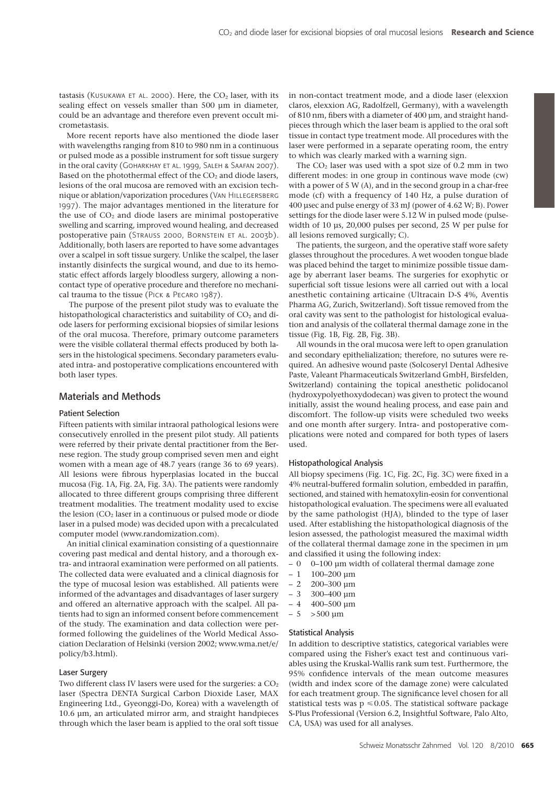tastasis (KUSUKAWA ET AL. 2000). Here, the  $CO<sub>2</sub>$  laser, with its sealing effect on vessels smaller than 500 μm in diameter, could be an advantage and therefore even prevent occult micrometastasis.

More recent reports have also mentioned the diode laser with wavelengths ranging from 810 to 980 nm in a continuous or pulsed mode as a possible instrument for soft tissue surgery in the oral cavity (Goharkhay et al. 1999, Saleh & Saafan 2007). Based on the photothermal effect of the  $CO<sub>2</sub>$  and diode lasers, lesions of the oral mucosa are removed with an excision technique or ablation/vaporization procedures (Van Hillegersberg 1997). The major advantages mentioned in the literature for the use of  $CO<sub>2</sub>$  and diode lasers are minimal postoperative swelling and scarring, improved wound healing, and decreased postoperative pain (Strauss 2000, Bornstein et al. 2003b). Additionally, both lasers are reported to have some advantages over a scalpel in soft tissue surgery. Unlike the scalpel, the laser instantly disinfects the surgical wound, and due to its hemostatic effect affords largely bloodless surgery, allowing a noncontact type of operative procedure and therefore no mechanical trauma to the tissue (Pick & Pecaro 1987).

 The purpose of the present pilot study was to evaluate the histopathological characteristics and suitability of CO<sub>2</sub> and diode lasers for performing excisional biopsies of similar lesions of the oral mucosa. Therefore, primary outcome parameters were the visible collateral thermal effects produced by both lasers in the histological specimens. Secondary parameters evaluated intra- and postoperative complications encountered with both laser types.

# Materials and Methods

#### Patient Selection

Fifteen patients with similar intraoral pathological lesions were consecutively enrolled in the present pilot study. All patients were referred by their private dental practitioner from the Bernese region. The study group comprised seven men and eight women with a mean age of 48.7 years (range 36 to 69 years). All lesions were fibrous hyperplasias located in the buccal mucosa (Fig. 1A, Fig. 2A, Fig. 3A). The patients were randomly allocated to three different groups comprising three different treatment modalities. The treatment modality used to excise the lesion  $(CO<sub>2</sub>$  laser in a continuous or pulsed mode or diode laser in a pulsed mode) was decided upon with a precalculated computer model (www.randomization.com).

An initial clinical examination consisting of a questionnaire covering past medical and dental history, and a thorough extra- and intraoral examination were performed on all patients. The collected data were evaluated and a clinical diagnosis for the type of mucosal lesion was established. All patients were informed of the advantages and disadvantages of laser surgery and offered an alternative approach with the scalpel. All patients had to sign an informed consent before commencement of the study. The examination and data collection were performed following the guidelines of the World Medical Association Declaration of Helsinki (version 2002; www.wma.net/e/ policy/b3.html).

#### Laser Surgery

Two different class IV lasers were used for the surgeries: a  $CO<sub>2</sub>$ laser (Spectra DENTA Surgical Carbon Dioxide Laser, MAX Engineering Ltd., Gyeonggi-Do, Korea) with a wavelength of 10.6 μm, an articulated mirror arm, and straight handpieces through which the laser beam is applied to the oral soft tissue in non-contact treatment mode, and a diode laser (elexxion claros, elexxion AG, Radolfzell, Germany), with a wavelength of 810 nm, fibers with a diameter of 400 μm, and straight handpieces through which the laser beam is applied to the oral soft tissue in contact type treatment mode. All procedures with the laser were performed in a separate operating room, the entry to which was clearly marked with a warning sign.

The CO2 laser was used with a spot size of 0.2 mm in two different modes: in one group in continous wave mode (cw) with a power of 5 W (A), and in the second group in a char-free mode (cf) with a frequency of 140 Hz, a pulse duration of 400 μsec and pulse energy of 33 mJ (power of 4.62 W; B). Power settings for the diode laser were 5.12 W in pulsed mode (pulsewidth of 10 μs, 20,000 pulses per second, 25 W per pulse for all lesions removed surgically; C).

The patients, the surgeon, and the operative staff wore safety glasses throughout the procedures. A wet wooden tongue blade was placed behind the target to minimize possible tissue damage by aberrant laser beams. The surgeries for exophytic or superficial soft tissue lesions were all carried out with a local anesthetic containing articaine (Ultracain D-S 4%, Aventis Pharma AG, Zurich, Switzerland). Soft tissue removed from the oral cavity was sent to the pathologist for histological evaluation and analysis of the collateral thermal damage zone in the tissue (Fig. 1B, Fig. 2B, Fig. 3B).

All wounds in the oral mucosa were left to open granulation and secondary epithelialization; therefore, no sutures were required. An adhesive wound paste (Solcoseryl Dental Adhesive Paste, Valeant Pharmaceuticals Switzerland GmbH, Birsfelden, Switzerland) containing the topical anesthetic polidocanol (hydroxypolyethoxydodecan) was given to protect the wound initially, assist the wound healing process, and ease pain and discomfort. The follow-up visits were scheduled two weeks and one month after surgery. Intra- and postoperative complications were noted and compared for both types of lasers used.

#### Histopathological Analysis

All biopsy specimens (Fig. 1C, Fig. 2C, Fig. 3C) were fixed in a 4% neutral-buffered formalin solution, embedded in paraffin, sectioned, and stained with hematoxylin-eosin for conventional histopathological evaluation. The specimens were all evaluated by the same pathologist (HJA), blinded to the type of laser used. After establishing the histopathological diagnosis of the lesion assessed, the pathologist measured the maximal width of the collateral thermal damage zone in the specimen in μm and classified it using the following index:

- $0$  0–100 µm width of collateral thermal damage zone
- $-1$  100–200 μm
- $-2$  200–300 um
- 3 300–400 μm
- $-4$  400–500  $\mu$ m
- $-5$  > 500 µm

#### Statistical Analysis

In addition to descriptive statistics, categorical variables were compared using the Fisher's exact test and continuous variables using the Kruskal-Wallis rank sum test. Furthermore, the 95% confidence intervals of the mean outcome measures (width and index score of the damage zone) were calculated for each treatment group. The significance level chosen for all statistical tests was  $p \le 0.05$ . The statistical software package S-Plus Professional (Version 6.2, Insightful Software, Palo Alto, CA, USA) was used for all analyses.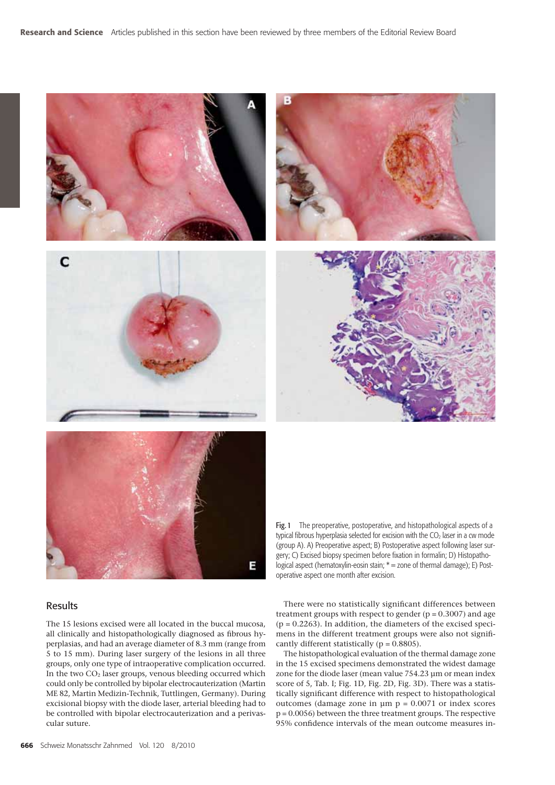



#### Fig. 1 The preoperative, postoperative, and histopathological aspects of a typical fibrous hyperplasia selected for excision with the  $CO<sub>2</sub>$  laser in a cw mode (group A). A) Preoperative aspect; B) Postoperative aspect following laser surgery; C) Excised biopsy specimen before fixation in formalin; D) Histopathological aspect (hematoxylin-eosin stain; \* = zone of thermal damage); E) Postoperative aspect one month after excision.

# Results

The 15 lesions excised were all located in the buccal mucosa, all clinically and histopathologically diagnosed as fibrous hyperplasias, and had an average diameter of 8.3 mm (range from 5 to 15 mm). During laser surgery of the lesions in all three groups, only one type of intraoperative complication occurred. In the two CO<sub>2</sub> laser groups, venous bleeding occurred which could only be controlled by bipolar electrocauterization (Martin ME 82, Martin Medizin-Technik, Tuttlingen, Germany). During excisional biopsy with the diode laser, arterial bleeding had to be controlled with bipolar electrocauterization and a perivascular suture.

There were no statistically significant differences between treatment groups with respect to gender  $(p = 0.3007)$  and age  $(p = 0.2263)$ . In addition, the diameters of the excised specimens in the different treatment groups were also not significantly different statistically ( $p = 0.8805$ ).

The histopathological evaluation of the thermal damage zone in the 15 excised specimens demonstrated the widest damage zone for the diode laser (mean value 754.23 μm or mean index score of 5, Tab. I; Fig. 1D, Fig. 2D, Fig. 3D). There was a statistically significant difference with respect to histopathological outcomes (damage zone in  $\mu$ m  $p = 0.0071$  or index scores p = 0.0056) between the three treatment groups. The respective 95% confidence intervals of the mean outcome measures in-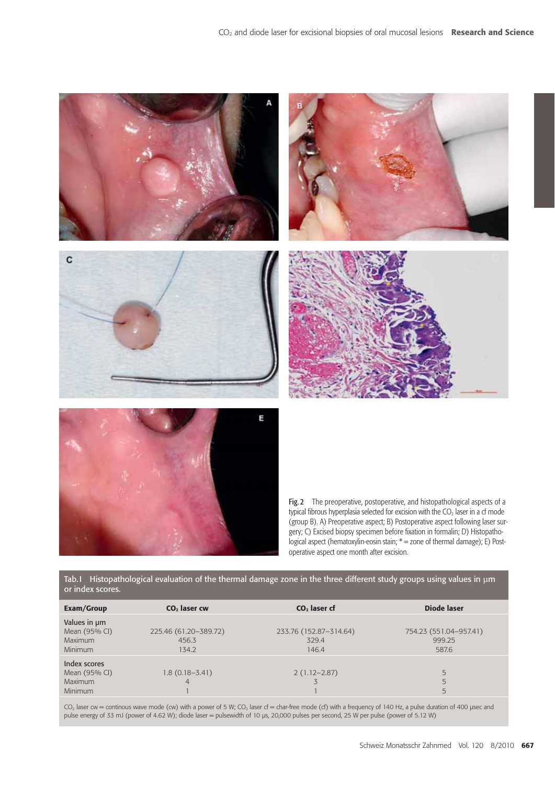

Tab. I Histopathological evaluation of the thermal damage zone in the three different study groups using values in μm or index scores.

| Exam/Group                                                        | CO <sub>2</sub> laser cw                | $CO2$ laser cf                           | Diode laser                               |
|-------------------------------------------------------------------|-----------------------------------------|------------------------------------------|-------------------------------------------|
| Values in um<br>Mean (95% CI)<br><b>Maximum</b><br><b>Minimum</b> | 225.46 (61.20-389.72)<br>456.3<br>134.2 | 233.76 (152.87-314.64)<br>329.4<br>146.4 | 754.23 (551.04-957.41)<br>999.25<br>587.6 |
| Index scores<br>Mean (95% CI)<br><b>Maximum</b><br><b>Minimum</b> | $1.8(0.18 - 3.41)$                      | $2(1.12 - 2.87)$                         | 5<br>5<br>5                               |

 $CO<sub>2</sub>$  laser cw = continous wave mode (cw) with a power of 5 W;  $CO<sub>2</sub>$  laser cf = char-free mode (cf) with a frequency of 140 Hz, a pulse duration of 400 µsec and pulse energy of 33 mJ (power of 4.62 W); diode laser = pulsewidth of 10 μs, 20,000 pulses per second, 25 W per pulse (power of 5.12 W)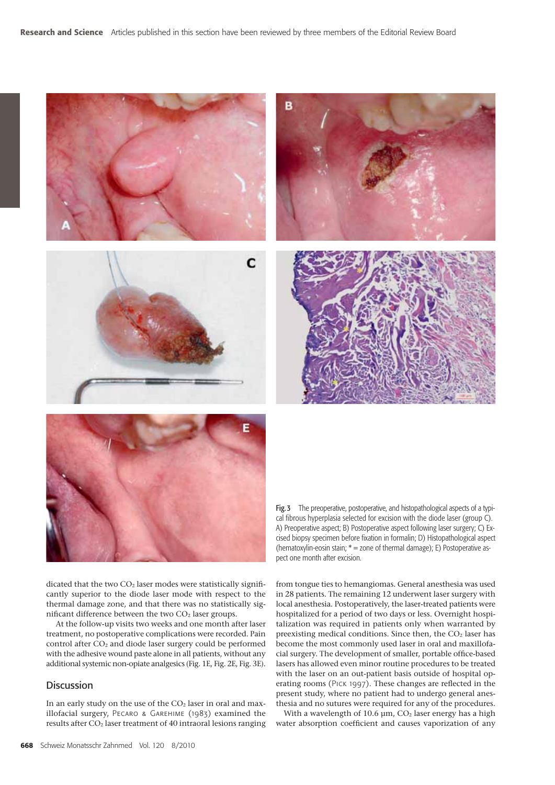



Fig. 3 The preoperative, postoperative, and histopathological aspects of a typical fibrous hyperplasia selected for excision with the diode laser (group C). A) Preoperative aspect; B) Postoperative aspect following laser surgery; C) Excised biopsy specimen before fixation in formalin; D) Histopathological aspect (hematoxylin-eosin stain; \* = zone of thermal damage); E) Postoperative aspect one month after excision.

from tongue ties to hemangiomas. General anesthesia was used in 28 patients. The remaining 12 underwent laser surgery with local anesthesia. Postoperatively, the laser-treated patients were hospitalized for a period of two days or less. Overnight hospitalization was required in patients only when warranted by preexisting medical conditions. Since then, the  $CO<sub>2</sub>$  laser has become the most commonly used laser in oral and maxillofacial surgery. The development of smaller, portable office-based lasers has allowed even minor routine procedures to be treated with the laser on an out-patient basis outside of hospital operating rooms (Pick 1997). These changes are reflected in the

dicated that the two  $CO<sub>2</sub>$  laser modes were statistically significantly superior to the diode laser mode with respect to the thermal damage zone, and that there was no statistically significant difference between the two  $CO<sub>2</sub>$  laser groups.

 At the follow-up visits two weeks and one month after laser treatment, no postoperative complications were recorded. Pain control after CO<sub>2</sub> and diode laser surgery could be performed with the adhesive wound paste alone in all patients, without any additional systemic non-opiate analgesics (Fig. 1E, Fig. 2E, Fig. 3E).

# **Discussion**

In an early study on the use of the  $CO<sub>2</sub>$  laser in oral and maxillofacial surgery, Pecaro & Garehime (1983) examined the results after  $CO<sub>2</sub>$  laser treatment of 40 intraoral lesions ranging present study, where no patient had to undergo general anesthesia and no sutures were required for any of the procedures. With a wavelength of 10.6  $\mu$ m, CO<sub>2</sub> laser energy has a high water absorption coefficient and causes vaporization of any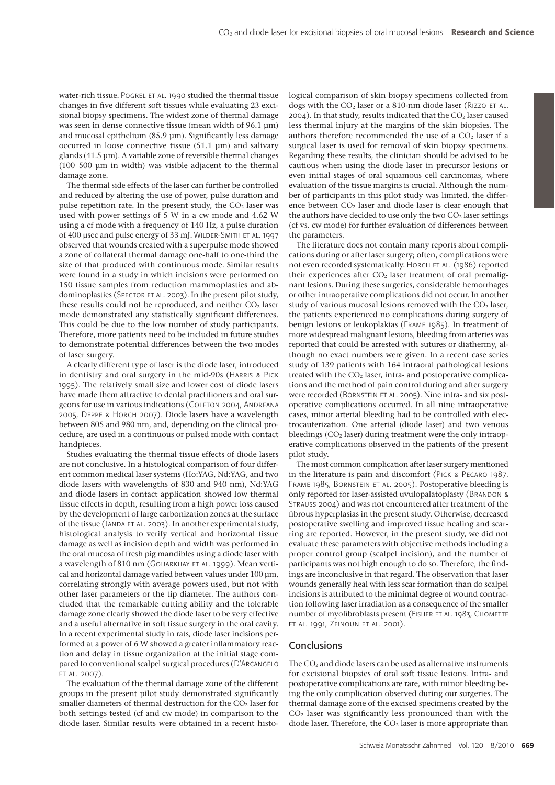water-rich tissue. POGREL ET AL. 1990 studied the thermal tissue changes in five different soft tissues while evaluating 23 excisional biopsy specimens. The widest zone of thermal damage was seen in dense connective tissue (mean width of 96.1 μm) and mucosal epithelium (85.9 μm). Significantly less damage occurred in loose connective tissue (51.1 μm) and salivary glands (41.5 μm). A variable zone of reversible thermal changes (100–500 μm in width) was visible adjacent to the thermal damage zone.

The thermal side effects of the laser can further be controlled and reduced by altering the use of power, pulse duration and pulse repetition rate. In the present study, the  $CO<sub>2</sub>$  laser was used with power settings of 5 W in a cw mode and 4.62 W using a cf mode with a frequency of 140 Hz, a pulse duration of 400 μsec and pulse energy of 33 mJ. WILDER-SMITH ET AL. 1997 observed that wounds created with a superpulse mode showed a zone of collateral thermal damage one-half to one-third the size of that produced with continuous mode. Similar results were found in a study in which incisions were performed on 150 tissue samples from reduction mammoplasties and abdominoplasties (SPECTOR ET AL. 2003). In the present pilot study, these results could not be reproduced, and neither  $CO<sub>2</sub>$  laser mode demonstrated any statistically significant differences. This could be due to the low number of study participants. Therefore, more patients need to be included in future studies to demonstrate potential differences between the two modes of laser surgery.

A clearly different type of laser is the diode laser, introduced in dentistry and oral surgery in the mid-90s (Harris & Pick 1995). The relatively small size and lower cost of diode lasers have made them attractive to dental practitioners and oral surgeons for use in various indications (COLETON 2004, ANDREANA 2005, Deppe & Horch 2007). Diode lasers have a wavelength between 805 and 980 nm, and, depending on the clinical procedure, are used in a continuous or pulsed mode with contact handpieces.

Studies evaluating the thermal tissue effects of diode lasers are not conclusive. In a histological comparison of four different common medical laser systems (Ho:YAG, Nd:YAG, and two diode lasers with wavelengths of 830 and 940 nm), Nd:YAG and diode lasers in contact application showed low thermal tissue effects in depth, resulting from a high power loss caused by the development of large carbonization zones at the surface of the tissue (JANDA ET AL. 2003). In another experimental study, histological analysis to verify vertical and horizontal tissue damage as well as incision depth and width was performed in the oral mucosa of fresh pig mandibles using a diode laser with a wavelength of 810 nm (GOHARKHAY ET AL. 1999). Mean vertical and horizontal damage varied between values under 100 μm, correlating strongly with average powers used, but not with other laser parameters or the tip diameter. The authors concluded that the remarkable cutting ability and the tolerable damage zone clearly showed the diode laser to be very effective and a useful alternative in soft tissue surgery in the oral cavity. In a recent experimental study in rats, diode laser incisions performed at a power of 6 W showed a greater inflammatory reaction and delay in tissue organization at the initial stage compared to conventional scalpel surgical procedures (D'Arcangelo et al. 2007).

The evaluation of the thermal damage zone of the different groups in the present pilot study demonstrated significantly smaller diameters of thermal destruction for the  $CO<sub>2</sub>$  laser for both settings tested (cf and cw mode) in comparison to the diode laser. Similar results were obtained in a recent histological comparison of skin biopsy specimens collected from dogs with the  $CO<sub>2</sub>$  laser or a 810-nm diode laser (RIZZO ET AL.  $2004$ ). In that study, results indicated that the  $CO<sub>2</sub>$  laser caused less thermal injury at the margins of the skin biopsies. The authors therefore recommended the use of a  $CO<sub>2</sub>$  laser if a surgical laser is used for removal of skin biopsy specimens. Regarding these results, the clinician should be advised to be cautious when using the diode laser in precursor lesions or even initial stages of oral squamous cell carcinomas, where evaluation of the tissue margins is crucial. Although the number of participants in this pilot study was limited, the difference between CO<sub>2</sub> laser and diode laser is clear enough that the authors have decided to use only the two  $CO<sub>2</sub>$  laser settings (cf vs. cw mode) for further evaluation of differences between the parameters.

The literature does not contain many reports about complications during or after laser surgery; often, complications were not even recorded systematically. HORCH ET AL. (1986) reported their experiences after  $CO<sub>2</sub>$  laser treatment of oral premalignant lesions. During these surgeries, considerable hemorrhages or other intraoperative complications did not occur. In another study of various mucosal lesions removed with the  $CO<sub>2</sub>$  laser, the patients experienced no complications during surgery of benign lesions or leukoplakias (Frame 1985). In treatment of more widespread malignant lesions, bleeding from arteries was reported that could be arrested with sutures or diathermy, although no exact numbers were given. In a recent case series study of 139 patients with 164 intraoral pathological lesions treated with the  $CO<sub>2</sub>$  laser, intra- and postoperative complications and the method of pain control during and after surgery were recorded (BORNSTEIN ET AL. 2005). Nine intra- and six postoperative complications occurred. In all nine intraoperative cases, minor arterial bleeding had to be controlled with electrocauterization. One arterial (diode laser) and two venous bleedings  $(CO<sub>2</sub> laser)$  during treatment were the only intraoperative complications observed in the patients of the present pilot study.

The most common complication after laser surgery mentioned in the literature is pain and discomfort (Pick & Pecaro 1987, FRAME 1985, BORNSTEIN ET AL. 2005). Postoperative bleeding is only reported for laser-assisted uvulopalatoplasty (BRANDON & Strauss 2004) and was not encountered after treatment of the fibrous hyperplasias in the present study. Otherwise, decreased postoperative swelling and improved tissue healing and scarring are reported. However, in the present study, we did not evaluate these parameters with objective methods including a proper control group (scalpel incision), and the number of participants was not high enough to do so. Therefore, the findings are inconclusive in that regard. The observation that laser wounds generally heal with less scar formation than do scalpel incisions is attributed to the minimal degree of wound contraction following laser irradiation as a consequence of the smaller number of myofibroblasts present (FISHER ET AL. 1983, CHOMETTE et al. 1991, Zeinoun et al. 2001).

#### **Conclusions**

The  $CO<sub>2</sub>$  and diode lasers can be used as alternative instruments for excisional biopsies of oral soft tissue lesions. Intra- and postoperative complications are rare, with minor bleeding being the only complication observed during our surgeries. The thermal damage zone of the excised specimens created by the CO2 laser was significantly less pronounced than with the diode laser. Therefore, the  $CO<sub>2</sub>$  laser is more appropriate than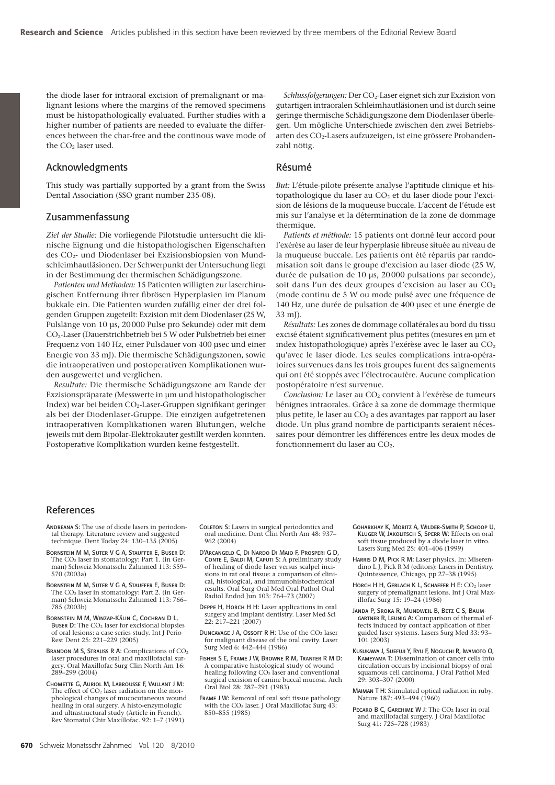the diode laser for intraoral excision of premalignant or malignant lesions where the margins of the removed specimens must be histopathologically evaluated. Further studies with a higher number of patients are needed to evaluate the differences between the char-free and the continous wave mode of the CO<sub>2</sub> laser used.

# Acknowledgments

This study was partially supported by a grant from the Swiss Dental Association (SSO grant number 235-08).

#### Zusammenfassung

*Ziel der Studie:* Die vorliegende Pilotstudie untersucht die klinische Eignung und die histopathologischen Eigenschaften des CO2- und Diodenlaser bei Exzisionsbiopsien von Mundschleimhautläsionen. Der Schwerpunkt der Untersuchung liegt in der Bestimmung der thermischen Schädigungszone.

*Patienten und Methoden:* 15 Patienten willigten zur laserchirugischen Entfernung ihrer fibrösen Hyperplasien im Planum bukkale ein. Die Patienten wurden zufällig einer der drei folgenden Gruppen zugeteilt: Exzision mit dem Diodenlaser (25 W, Pulslänge von 10 μs, 20 000 Pulse pro Sekunde) oder mit dem CO2-Laser (Dauerstrichbetrieb bei 5 W oder Pulsbetrieb bei einer Frequenz von 140 Hz, einer Pulsdauer von 400 μsec und einer Energie von 33 mJ). Die thermische Schädigungszonen, sowie die intraoperativen und postoperativen Komplikationen wurden ausgewertet und verglichen.

*Resultate:* Die thermische Schädigungszone am Rande der Exzisionspräparate (Messwerte in μm und histopathologischer Index) war bei beiden CO2-Laser-Gruppen signifikant geringer als bei der Diodenlaser-Gruppe. Die einzigen aufgetretenen intraoperativen Komplikationen waren Blutungen, welche jeweils mit dem Bipolar-Elektrokauter gestillt werden konnten. Postoperative Komplikation wurden keine festgestellt.

*Schlussfolgerungen:* Der CO2-Laser eignet sich zur Exzision von gutartigen intraoralen Schleimhautläsionen und ist durch seine geringe thermische Schädigungszone dem Diodenlaser überlegen. Um mögliche Unterschiede zwischen den zwei Betriebsarten des CO<sub>2</sub>-Lasers aufzuzeigen, ist eine grössere Probandenzahl nötig.

# Résumé

*But:* L'étude-pilote présente analyse l'aptitude clinique et histopathologique du laser au CO<sub>2</sub> et du laser diode pour l'excision de lésions de la muqueuse buccale. L'accent de l'étude est mis sur l'analyse et la détermination de la zone de dommage thermique.

*Patients et méthode:* 15 patients ont donné leur accord pour l'exérèse au laser de leur hyperplasie fibreuse située au niveau de la muqueuse buccale. Les patients ont été répartis par randomisation soit dans le groupe d'excision au laser diode (25 W, durée de pulsation de 10 μs, 20 000 pulsations par seconde), soit dans l'un des deux groupes d'excision au laser au  $CO<sub>2</sub>$ (mode continu de 5 W ou mode pulsé avec une fréquence de 140 Hz, une durée de pulsation de 400 μsec et une énergie de  $33 \text{ m}$ 

*Résultats:* Les zones de dommage collatérales au bord du tissu excisé étaient significativement plus petites (mesures en μm et index histopathologique) après l'exérèse avec le laser au CO<sub>2</sub> qu'avec le laser diode. Les seules complications intra-opératoires survenues dans les trois groupes furent des saignements qui ont été stoppés avec l'électrocautère. Aucune complication postopératoire n'est survenue.

*Conclusion:* Le laser au CO<sub>2</sub> convient à l'exérèse de tumeurs bénignes intraorales. Grâce à sa zone de dommage thermique plus petite, le laser au  $CO<sub>2</sub>$  a des avantages par rapport au laser diode. Un plus grand nombre de participants seraient nécessaires pour démontrer les différences entre les deux modes de fonctionnement du laser au CO<sub>2</sub>.

## References

- ANDREANA S: The use of diode lasers in periodontal therapy. Literature review and suggested technique. Dent Today 24: 130–135 (2005)
- Bornstein M M, Suter V G A, Stauffer E, Buser D: The CO<sub>2</sub> laser in stomatology: Part 1. (in German) Schweiz Monatsschr Zahnmed 113: 559– 570 (2003a)
- Bornstein M M, Suter V G A, Stauffer E, Buser D: The CO2 laser in stomatology: Part 2. (in Ger-man) Schweiz Monatsschr Zahnmed 113: 766– 785 (2003b)
- Bornstein M M, Winzap-Kälin C, Cochran D L, Buser D: The CO<sub>2</sub> laser for excisional biopsies of oral lesions: a case series study. Int J Perio Rest Dent 25: 221–229 (2005)
- BRANDON M S, STRAUSS R A: Complications of CO<sub>2</sub> laser procedures in oral and maxillofacial surgery. Oral Maxillofac Surg Clin North Am 16: 289–299 (2004)
- Chomette G, Auriol M, Labrousse F, Vaillant J M: The effect of  $CO<sub>2</sub>$  laser radiation on the morphological changes of mucocutaneous wound healing in oral surgery. A histo-enzymologic and ultrastructural study (Article in French). Rev Stomatol Chir Maxillofac. 92: 1–7 (1991)
- Coleton S: Lasers in surgical periodontics and oral medicine. Dent Clin North Am 48: 937– 962 (2004)
- D'Arcangelo C, Di Nardo Di Maio F, Prosperi G D, CONTE E, BALDI M, CAPUTI S: A preliminary study of healing of diode laser versus scalpel incisions in rat oral tissue: a comparison of clinical, histological, and immunohistochemical results. Oral Surg Oral Med Oral Pathol Oral Radiol Endod Jun 103: 764–73 (2007)
- Deppe H, Horch H H: Laser applications in oral surgery and implant dentistry. Laser Med Sci 22: 217–221 (2007)
- DUNCAVAGE J A, OSSOFF R H: Use of the CO<sub>2</sub> laser for malignant disease of the oral cavity. Laser Surg Med 6: 442–444 (1986)
- Fisher S E, Frame J W, Browne R M, Tranter R M D: A comparative histological study of wound healing following CO<sub>2</sub> laser and conventional surgical excision of canine buccal mucosa. Arch Oral Biol 28: 287–291 (1983)
- FRAME J W: Removal of oral soft tissue pathology with the CO<sub>2</sub> laser. J Oral Maxillofac Surg 43: 850–855 (1985)
- Goharkhay K, Moritz A, Wilder-Smith P, Schoop U, Kluger W, Jakolitsch S, Sperr W: Effects on oral soft tissue produced by a diode laser in vitro. Lasers Surg Med 25: 401-406 (1999)
- Harris D M, Pick R M: Laser physics. In: Miserendino L J, Pick R M (editors): Lasers in Dentistry. Quintessence, Chicago, pp 27–38 (1995)
- Horch H H, GERLACH K L, SCHAEFER H E: CO<sub>2</sub> laser surgery of premalignant lesions. Int J Oral Max-illofac Surg 15: 19–24 (1986)
- Janda P, Sroka R, Mundweil B, Betz C S, Baumgartner R, Leunig A: Comparison of thermal effects induced by contact application of fiber guided laser systems. Lasers Surg Med 33: 93– 101 (2003)
- Kusukawa J, Suefuji Y, Ryu F, Noguchi R, Iwamoto O, Kameyama T: Dissemination of cancer cells into circulation occurs by incisional biopsy of oral squamous cell carcinoma. J Oral Pathol Med 29: 303–307 (2000)
- Maiman T H: Stimulated optical radiation in ruby. Nature 187: 493–494 (1960)
- PECARO B C, GAREHIME W J: The CO<sub>2</sub> laser in oral and maxillofacial surgery. J Oral Maxillofac Surg 41: 725–728 (1983)